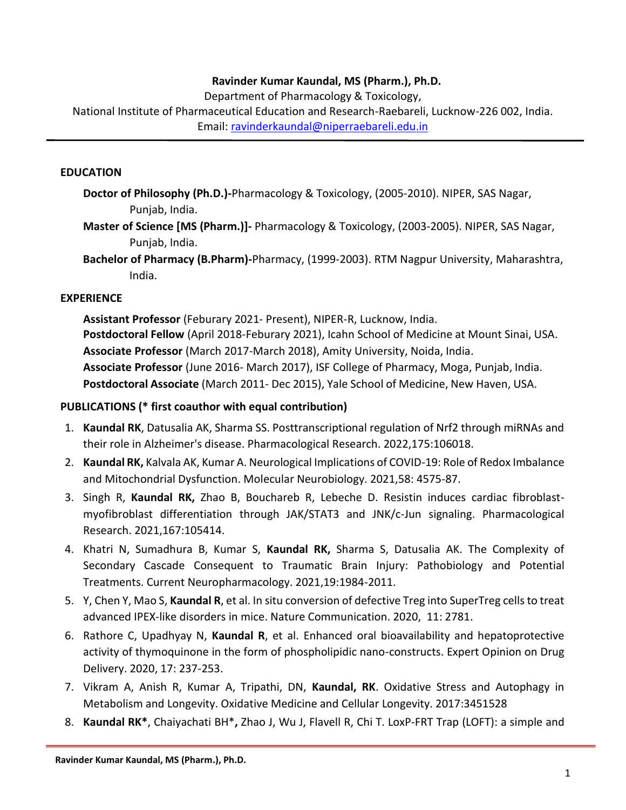### **Ravinder Kumar Kaundal, MS (Pharm.), Ph.D.**

Department of Pharmacology & Toxicology,

National Institute of Pharmaceutical Education and Research-Raebareli, Lucknow-226 002, India. Email: [ravinderkaundal@niperraebareli.](mailto:ravinderkaundal@niperraebareli)edu.in

#### **EDUCATION**

- **Doctor of Philosophy (Ph.D.)-**Pharmacology & Toxicology, (2005‐2010). NIPER, SAS Nagar, Punjab, India.
- **Master of Science [MS (Pharm.)]-** Pharmacology & Toxicology, (2003‐2005). NIPER, SAS Nagar, Punjab, India.

**Bachelor of Pharmacy (B.Pharm)-**Pharmacy, (1999‐2003). RTM Nagpur University, Maharashtra, India.

### **EXPERIENCE**

**Assistant Professor** (Feburary 2021‐ Present), NIPER-R, Lucknow, India. **Postdoctoral Fellow** (April 2018‐Feburary 2021), Icahn School of Medicine at Mount Sinai, USA. **Associate Professor** (March 2017‐March 2018), Amity University, Noida, India. **Associate Professor** (June 2016‐ March 2017), ISF College of Pharmacy, Moga, Punjab, India. **Postdoctoral Associate** (March 2011‐ Dec 2015), Yale School of Medicine, New Haven, USA.

#### **PUBLICATIONS (\* first coauthor with equal contribution)**

- 1. **Kaundal RK**, Datusalia AK, Sharma SS. Posttranscriptional regulation of Nrf2 through miRNAs and their role in Alzheimer's disease. Pharmacological Research. 2022,175:106018.
- 2. **Kaundal RK,** Kalvala AK, Kumar A. Neurological Implications of COVID-19: Role of Redox Imbalance and Mitochondrial Dysfunction. Molecular Neurobiology. 2021,58: 4575-87.
- 3. Singh R, **Kaundal RK,** Zhao B, Bouchareb R, Lebeche D. Resistin induces cardiac fibroblastmyofibroblast differentiation through JAK/STAT3 and JNK/c-Jun signaling. Pharmacological Research. 2021,167:105414.
- 4. Khatri N, Sumadhura B, Kumar S, **Kaundal RK,** Sharma S, Datusalia AK. The Complexity of Secondary Cascade Consequent to Traumatic Brain Injury: Pathobiology and Potential Treatments. Current Neuropharmacology. 2021,19:1984-2011.
- 5. Y, Chen Y, Mao S, **Kaundal R**, et al. In situ conversion of defective Treg into SuperTreg cells to treat advanced IPEX-like disorders in mice. Nature Communication. 2020, 11: 2781.
- 6. Rathore C, Upadhyay N, **Kaundal R**, et al. Enhanced oral bioavailability and hepatoprotective activity of thymoquinone in the form of phospholipidic nano-constructs. Expert Opinion on Drug Delivery. 2020, 17: 237-253.
- 7. Vikram A, Anish R, Kumar A, Tripathi, DN, **Kaundal, RK**. Oxidative Stress and Autophagy in Metabolism and Longevity. Oxidative Medicine and Cellular Longevity. 2017:3451528
- 8. **Kaundal RK\***, Chaiyachati BH\***,** Zhao J, Wu J, Flavell R, Chi T. LoxP‐FRT Trap (LOFT): a simple and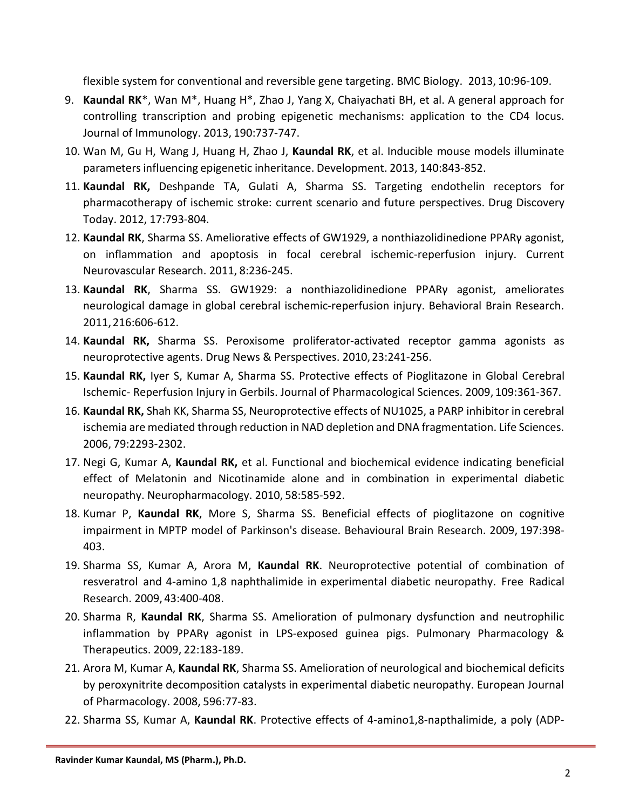flexible system for conventional and reversible gene targeting. BMC Biology. 2013, 10:96‐109.

- 9. **Kaundal RK**\*, Wan M\*, Huang H\*, Zhao J, Yang X, Chaiyachati BH, et al. A general approach for controlling transcription and probing epigenetic mechanisms: application to the CD4 locus. Journal of Immunology. 2013, 190:737‐747.
- 10. Wan M, Gu H, Wang J, Huang H, Zhao J, **Kaundal RK**, et al. Inducible mouse models illuminate parameters influencing epigenetic inheritance. Development. 2013, 140:843-852.
- 11. **Kaundal RK,** Deshpande TA, Gulati A, Sharma SS. Targeting endothelin receptors for pharmacotherapy of ischemic stroke: current scenario and future perspectives. Drug Discovery Today. 2012, 17:793‐804.
- 12. **Kaundal RK**, Sharma SS. Ameliorative effects of GW1929, a nonthiazolidinedione PPARγ agonist, on inflammation and apoptosis in focal cerebral ischemic‐reperfusion injury. Current Neurovascular Research. 2011, 8:236‐245.
- 13. **Kaundal RK**, Sharma SS. GW1929: a nonthiazolidinedione PPARγ agonist, ameliorates neurological damage in global cerebral ischemic‐reperfusion injury. Behavioral Brain Research. 2011,216:606‐612.
- 14. **Kaundal RK,** Sharma SS. Peroxisome proliferator‐activated receptor gamma agonists as neuroprotective agents. Drug News & Perspectives. 2010, 23:241-256.
- 15. **Kaundal RK,** Iyer S, Kumar A, Sharma SS. Protective effects of Pioglitazone in Global Cerebral Ischemic‐ Reperfusion Injury in Gerbils. Journal of Pharmacological Sciences. 2009, 109:361‐367.
- 16. **Kaundal RK,** Shah KK, Sharma SS, Neuroprotective effects of NU1025, a PARP inhibitor in cerebral ischemia are mediated through reduction in NAD depletion and DNA fragmentation. Life Sciences. 2006, 79:2293‐2302.
- 17. Negi G, Kumar A, **Kaundal RK,** et al. Functional and biochemical evidence indicating beneficial effect of Melatonin and Nicotinamide alone and in combination in experimental diabetic neuropathy. Neuropharmacology. 2010, 58:585‐592.
- 18. Kumar P, **Kaundal RK**, More S, Sharma SS. Beneficial effects of pioglitazone on cognitive impairment in MPTP model of Parkinson's disease. Behavioural Brain Research. 2009, 197:398‐ 403.
- 19. Sharma SS, Kumar A, Arora M, **Kaundal RK**. Neuroprotective potential of combination of resveratrol and 4‐amino 1,8 naphthalimide in experimental diabetic neuropathy. Free Radical Research. 2009, 43:400‐408.
- 20. Sharma R, **Kaundal RK**, Sharma SS. Amelioration of pulmonary dysfunction and neutrophilic inflammation by PPARγ agonist in LPS‐exposed guinea pigs. Pulmonary Pharmacology & Therapeutics. 2009, 22:183‐189.
- 21. Arora M, Kumar A, **Kaundal RK**, Sharma SS. Amelioration of neurological and biochemical deficits by peroxynitrite decomposition catalysts in experimental diabetic neuropathy. European Journal of Pharmacology. 2008, 596:77‐83.
- 22. Sharma SS, Kumar A, **Kaundal RK**. Protective effects of 4‐amino1,8‐napthalimide, a poly (ADP‐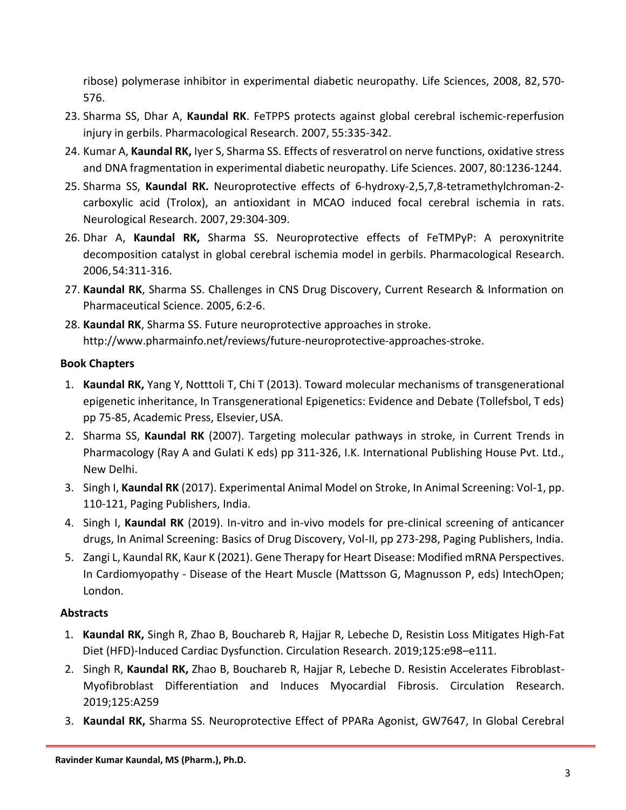ribose) polymerase inhibitor in experimental diabetic neuropathy. Life Sciences, 2008, 82, 570‐ 576.

- 23. Sharma SS, Dhar A, **Kaundal RK**. FeTPPS protects against global cerebral ischemic‐reperfusion injury in gerbils. Pharmacological Research. 2007, 55:335‐342.
- 24. Kumar A, **Kaundal RK,** Iyer S, Sharma SS. Effects of resveratrol on nerve functions, oxidative stress and DNA fragmentation in experimental diabetic neuropathy. Life Sciences. 2007, 80:1236‐1244.
- 25. Sharma SS, **Kaundal RK.** Neuroprotective effects of 6‐hydroxy‐2,5,7,8‐tetramethylchroman‐2‐ carboxylic acid (Trolox), an antioxidant in MCAO induced focal cerebral ischemia in rats. Neurological Research. 2007, 29:304‐309.
- 26. Dhar A, **Kaundal RK,** Sharma SS. Neuroprotective effects of FeTMPyP: A peroxynitrite decomposition catalyst in global cerebral ischemia model in gerbils. Pharmacological Research. 2006,54:311‐316.
- 27. **Kaundal RK**, Sharma SS. Challenges in CNS Drug Discovery, Current Research & Information on Pharmaceutical Science. 2005, 6:2‐6.
- 28. **Kaundal RK**, Sharma SS. Future neuroprotective approaches in stroke. [http://www.pharmainfo.net/reviews/future](about:blank)‐neuroprotective‐approaches‐stroke.

# **Book Chapters**

- 1. **Kaundal RK,** Yang Y, Notttoli T, Chi T (2013). Toward molecular mechanisms of transgenerational epigenetic inheritance, In Transgenerational Epigenetics: Evidence and Debate (Tollefsbol, T eds) pp 75‐85, Academic Press, Elsevier,USA.
- 2. Sharma SS, **Kaundal RK** (2007). Targeting molecular pathways in stroke, in Current Trends in Pharmacology (Ray A and Gulati K eds) pp 311‐326, I.K. International Publishing House Pvt. Ltd., New Delhi.
- 3. Singh I, **Kaundal RK** (2017). Experimental Animal Model on Stroke, In Animal Screening: Vol-1, pp. 110-121, Paging Publishers, India.
- 4. Singh I, **Kaundal RK** (2019). In-vitro and in-vivo models for pre-clinical screening of anticancer drugs, In Animal Screening: Basics of Drug Discovery, Vol-II, pp 273-298, Paging Publishers, India.
- 5. Zangi L, Kaundal RK, Kaur K (2021). Gene Therapy for Heart Disease: Modified mRNA Perspectives. In Cardiomyopathy - Disease of the Heart Muscle (Mattsson G, Magnusson P, eds) IntechOpen; London.

# **Abstracts**

- 1. **Kaundal RK,** Singh R, Zhao B, Bouchareb R, Hajjar R, Lebeche D, Resistin Loss Mitigates High-Fat Diet (HFD)-Induced Cardiac Dysfunction. Circulation Research. 2019;125:e98–e111.
- 2. Singh R, **Kaundal RK,** Zhao B, Bouchareb R, Hajjar R, Lebeche D. Resistin Accelerates Fibroblast-Myofibroblast Differentiation and Induces Myocardial Fibrosis. Circulation Research. 2019;125:A259
- 3. **Kaundal RK,** Sharma SS. Neuroprotective Effect of PPARa Agonist, GW7647, In Global Cerebral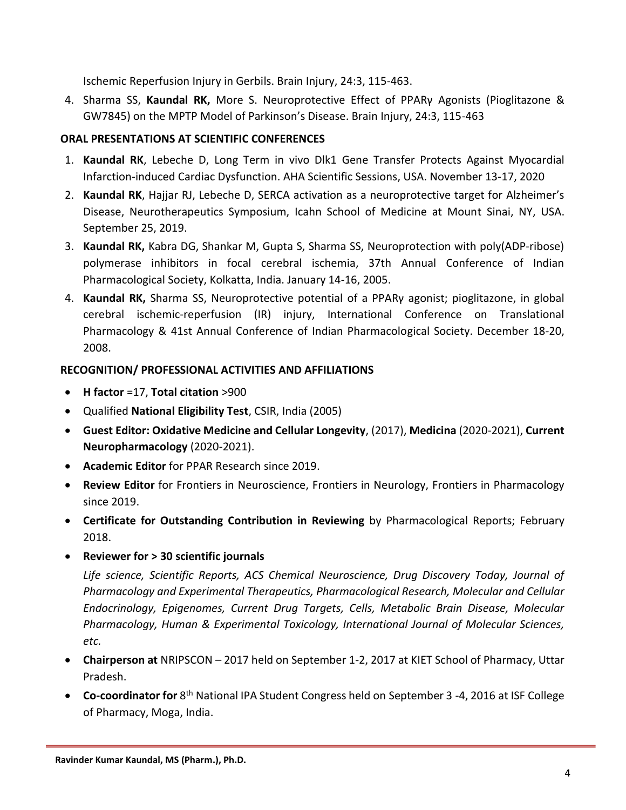Ischemic Reperfusion Injury in Gerbils. Brain Injury, 24:3, 115-463.

4. Sharma SS, **Kaundal RK,** More S. Neuroprotective Effect of PPARγ Agonists (Pioglitazone & GW7845) on the MPTP Model of Parkinson's Disease. Brain Injury, 24:3, 115-463

## **ORAL PRESENTATIONS AT SCIENTIFIC CONFERENCES**

- 1. **Kaundal RK**, Lebeche D, Long Term in vivo Dlk1 Gene Transfer Protects Against Myocardial Infarction-induced Cardiac Dysfunction. AHA Scientific Sessions, USA. November 13-17, 2020
- 2. **Kaundal RK**, Hajjar RJ, Lebeche D, SERCA activation as a neuroprotective target for Alzheimer's Disease, Neurotherapeutics Symposium, Icahn School of Medicine at Mount Sinai, NY, USA. September 25, 2019.
- 3. **Kaundal RK,** Kabra DG, Shankar M, Gupta S, Sharma SS, Neuroprotection with poly(ADP‐ribose) polymerase inhibitors in focal cerebral ischemia, 37th Annual Conference of Indian Pharmacological Society, Kolkatta, India. January 14‐16, 2005.
- 4. **Kaundal RK,** Sharma SS, Neuroprotective potential of a PPARγ agonist; pioglitazone, in global cerebral ischemic‐reperfusion (IR) injury, International Conference on Translational Pharmacology & 41st Annual Conference of Indian Pharmacological Society. December 18‐20, 2008.

# **RECOGNITION/ PROFESSIONAL ACTIVITIES AND AFFILIATIONS**

- **H factor** =17, **Total citation** >900
- Qualified **National Eligibility Test**, CSIR, India (2005)
- **Guest Editor: Oxidative Medicine and Cellular Longevity**, (2017), **Medicina** (2020-2021), **Current Neuropharmacology** (2020-2021).
- **Academic Editor** for PPAR Research since 2019.
- **Review Editor** for [Frontiers in Neuroscience,](https://loop.frontiersin.org/journal/1) [Frontiers in Neurology,](https://loop.frontiersin.org/journal/141) [Frontiers in Pharmacology](https://loop.frontiersin.org/journal/176) since 2019.
- **Certificate for Outstanding Contribution in Reviewing** by Pharmacological Reports; February 2018.
- **Reviewer for > 30 scientific journals**

*Life science, Scientific Reports, ACS Chemical Neuroscience, Drug Discovery Today, Journal of Pharmacology and Experimental Therapeutics, Pharmacological Research, Molecular and Cellular Endocrinology, Epigenomes, Current Drug Targets, Cells, Metabolic Brain Disease, Molecular Pharmacology, Human & Experimental Toxicology, International Journal of Molecular Sciences, etc.*

- **Chairperson at** NRIPSCON 2017 held on September 1-2, 2017 at KIET School of Pharmacy, Uttar Pradesh.
- **Co-coordinator for** 8<sup>th</sup> National IPA Student Congress held on September 3 -4, 2016 at ISF College of Pharmacy, Moga, India.